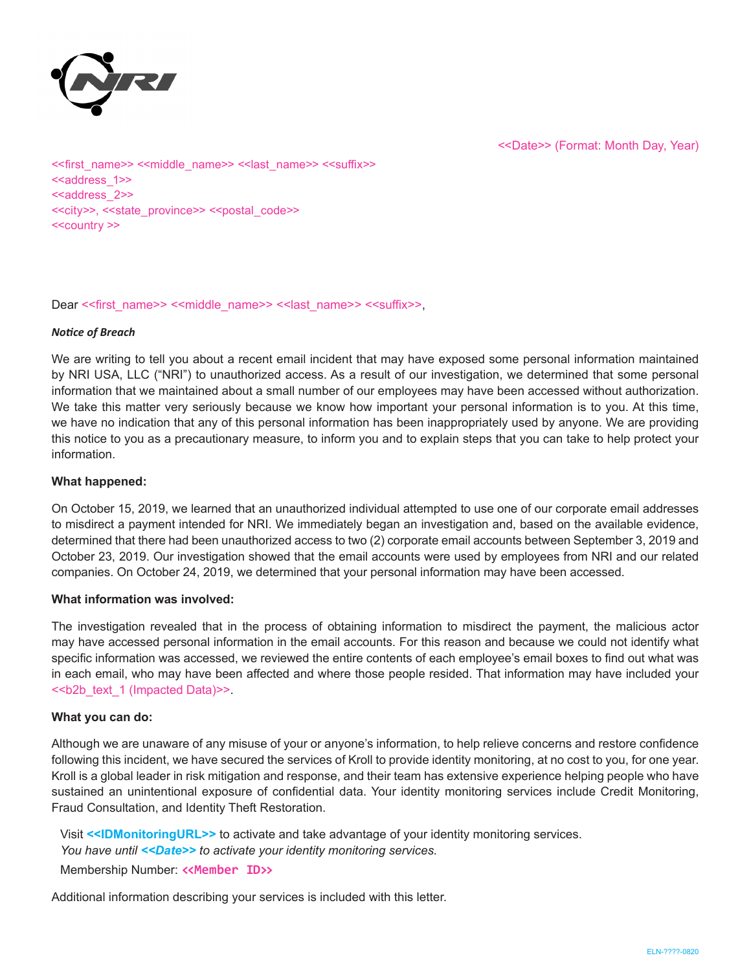

<<Date>> (Format: Month Day, Year)

<<first\_name>> <<middle\_name>> <<last\_name>> <<suffix>> <<address\_1>> <<address\_2>> <<city>>, <<state\_province>> <<postal\_code>> <<country >>

Dear << first\_name>> <<middle\_name>> << last\_name>> <<suffix>>.

### *Notice of Breach*

We are writing to tell you about a recent email incident that may have exposed some personal information maintained by NRI USA, LLC ("NRI") to unauthorized access. As a result of our investigation, we determined that some personal information that we maintained about a small number of our employees may have been accessed without authorization. We take this matter very seriously because we know how important your personal information is to you. At this time, we have no indication that any of this personal information has been inappropriately used by anyone. We are providing this notice to you as a precautionary measure, to inform you and to explain steps that you can take to help protect your information.

# **What happened:**

On October 15, 2019, we learned that an unauthorized individual attempted to use one of our corporate email addresses to misdirect a payment intended for NRI. We immediately began an investigation and, based on the available evidence, determined that there had been unauthorized access to two (2) corporate email accounts between September 3, 2019 and October 23, 2019. Our investigation showed that the email accounts were used by employees from NRI and our related companies. On October 24, 2019, we determined that your personal information may have been accessed.

#### **What information was involved:**

The investigation revealed that in the process of obtaining information to misdirect the payment, the malicious actor may have accessed personal information in the email accounts. For this reason and because we could not identify what specific information was accessed, we reviewed the entire contents of each employee's email boxes to find out what was in each email, who may have been affected and where those people resided. That information may have included your <<b2b\_text\_1 (Impacted Data)>>.

# **What you can do:**

Although we are unaware of any misuse of your or anyone's information, to help relieve concerns and restore confidence following this incident, we have secured the services of Kroll to provide identity monitoring, at no cost to you, for one year. Kroll is a global leader in risk mitigation and response, and their team has extensive experience helping people who have sustained an unintentional exposure of confidential data. Your identity monitoring services include Credit Monitoring, Fraud Consultation, and Identity Theft Restoration.

Visit **<<IDMonitoringURL>>** to activate and take advantage of your identity monitoring services. *You have until <<Date>> to activate your identity monitoring services.*

Membership Number: **<<Member ID>>**

Additional information describing your services is included with this letter.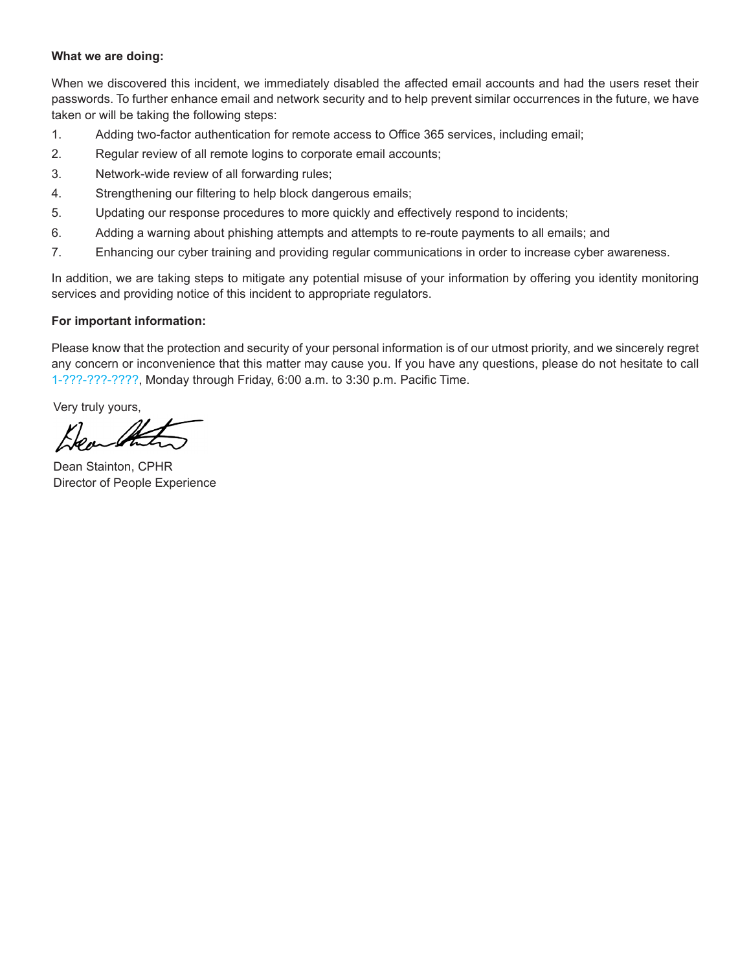# **What we are doing:**

When we discovered this incident, we immediately disabled the affected email accounts and had the users reset their passwords. To further enhance email and network security and to help prevent similar occurrences in the future, we have taken or will be taking the following steps:

- 1. Adding two-factor authentication for remote access to Office 365 services, including email;
- 2. Regular review of all remote logins to corporate email accounts;
- 3. Network-wide review of all forwarding rules;
- 4. Strengthening our filtering to help block dangerous emails;
- 5. Updating our response procedures to more quickly and effectively respond to incidents;
- 6. Adding a warning about phishing attempts and attempts to re-route payments to all emails; and
- 7. Enhancing our cyber training and providing regular communications in order to increase cyber awareness.

In addition, we are taking steps to mitigate any potential misuse of your information by offering you identity monitoring services and providing notice of this incident to appropriate regulators.

# **For important information:**

Please know that the protection and security of your personal information is of our utmost priority, and we sincerely regret any concern or inconvenience that this matter may cause you. If you have any questions, please do not hesitate to call 1-???-???-????, Monday through Friday, 6:00 a.m. to 3:30 p.m. Pacific Time.

Very truly yours,

 $k_{\rm los}$  (A

Dean Stainton, CPHR Director of People Experience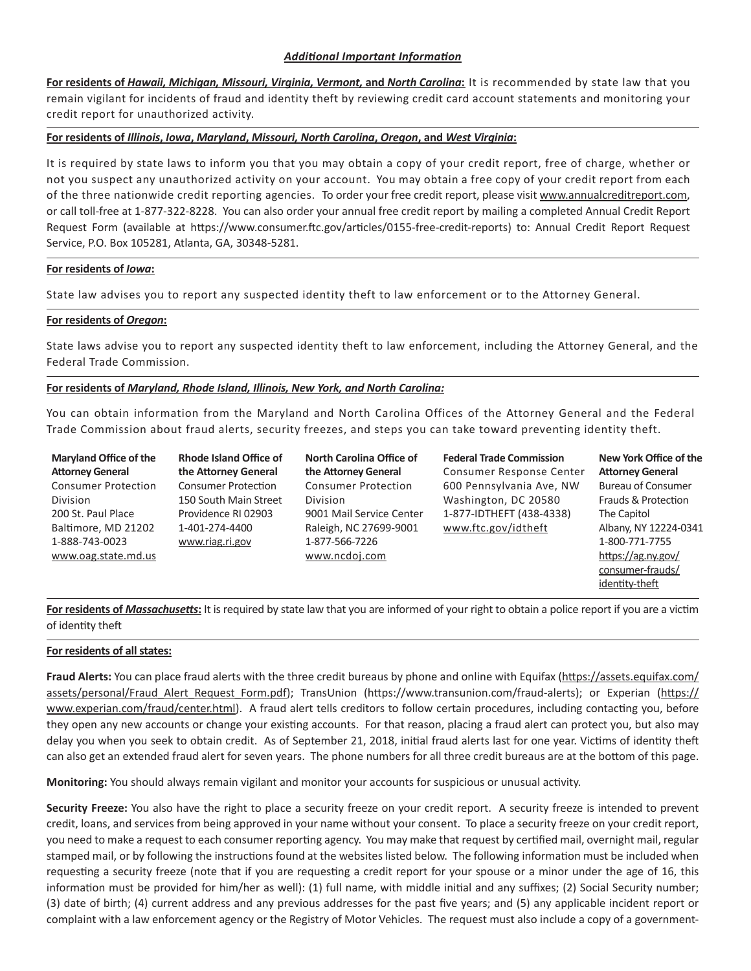# *Additional Important Information*

**For residents of** *Hawaii, Michigan, Missouri, Virginia, Vermont,* **and** *North Carolina***:** It is recommended by state law that you remain vigilant for incidents of fraud and identity theft by reviewing credit card account statements and monitoring your credit report for unauthorized activity.

#### **For residents of** *Illinois***,** *Iowa***,** *Maryland***,** *Missouri, North Carolina***,** *Oregon***, and** *West Virginia***:**

It is required by state laws to inform you that you may obtain a copy of your credit report, free of charge, whether or not you suspect any unauthorized activity on your account. You may obtain a free copy of your credit report from each of the three nationwide credit reporting agencies. To order your free credit report, please visit www.annualcreditreport.com, or call toll-free at 1-877-322-8228. You can also order your annual free credit report by mailing a completed Annual Credit Report Request Form (available at https://www.consumer.ftc.gov/articles/0155-free-credit-reports) to: Annual Credit Report Request Service, P.O. Box 105281, Atlanta, GA, 30348-5281.

#### **For residents of** *Iowa***:**

State law advises you to report any suspected identity theft to law enforcement or to the Attorney General.

#### **For residents of** *Oregon***:**

State laws advise you to report any suspected identity theft to law enforcement, including the Attorney General, and the Federal Trade Commission.

#### **For residents of** *Maryland, Rhode Island, Illinois, New York, and North Carolina:*

You can obtain information from the Maryland and North Carolina Offices of the Attorney General and the Federal Trade Commission about fraud alerts, security freezes, and steps you can take toward preventing identity theft.

**Maryland Office of the Attorney General** Consumer Protection Division 200 St. Paul Place Baltimore, MD 21202 1-888-743-0023 www.oag.state.md.us **Rhode Island Office of the Attorney General** Consumer Protection 150 South Main Street Providence RI 02903 1-401-274-4400 www.riag.ri.gov

**North Carolina Office of the Attorney General** Consumer Protection Division 9001 Mail Service Center Raleigh, NC 27699-9001 1-877-566-7226 www.ncdoj.com

**Federal Trade Commission** Consumer Response Center 600 Pennsylvania Ave, NW Washington, DC 20580 1-877-IDTHEFT (438-4338) www.ftc.gov/idtheft

**New York Office of the Attorney General** Bureau of Consumer Frauds & Protection The Capitol Albany, NY 12224-0341 1-800-771-7755 https://ag.ny.gov/ consumer-frauds/ identity-theft

**For residents of** *Massachusetts***:** It is required by state law that you are informed of your right to obtain a police report if you are a victim of identity theft

#### **For residents of all states:**

**Fraud Alerts:** You can place fraud alerts with the three credit bureaus by phone and online with Equifax (https://assets.equifax.com/ assets/personal/Fraud\_Alert\_Request\_Form.pdf); TransUnion (https://www.transunion.com/fraud-alerts); or Experian (https:// www.experian.com/fraud/center.html). A fraud alert tells creditors to follow certain procedures, including contacting you, before they open any new accounts or change your existing accounts. For that reason, placing a fraud alert can protect you, but also may delay you when you seek to obtain credit. As of September 21, 2018, initial fraud alerts last for one year. Victims of identity theft can also get an extended fraud alert for seven years. The phone numbers for all three credit bureaus are at the bottom of this page.

**Monitoring:** You should always remain vigilant and monitor your accounts for suspicious or unusual activity.

**Security Freeze:** You also have the right to place a security freeze on your credit report. A security freeze is intended to prevent credit, loans, and services from being approved in your name without your consent. To place a security freeze on your credit report, you need to make a request to each consumer reporting agency. You may make that request by certified mail, overnight mail, regular stamped mail, or by following the instructions found at the websites listed below. The following information must be included when requesting a security freeze (note that if you are requesting a credit report for your spouse or a minor under the age of 16, this information must be provided for him/her as well): (1) full name, with middle initial and any suffixes; (2) Social Security number; (3) date of birth; (4) current address and any previous addresses for the past five years; and (5) any applicable incident report or complaint with a law enforcement agency or the Registry of Motor Vehicles. The request must also include a copy of a government-